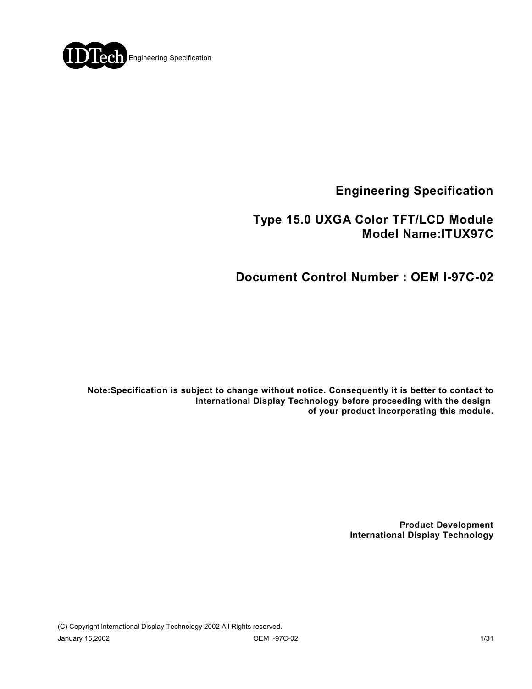

**Engineering Specification**

## **Type 15.0 UXGA Color TFT/LCD Module Model Name:ITUX97C**

# **Document Control Number : OEM I-97C-02**

**Note:Specification is subject to change without notice. Consequently it is better to contact to International Display Technology before proceeding with the design of your product incorporating this module.**

> **Product Development International Display Technology**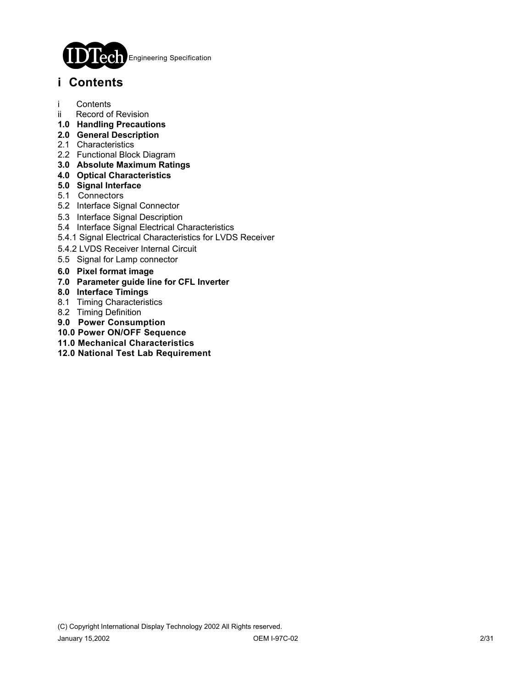

## **i Contents**

- i Contents
- ii Record of Revision
- **1.0 Handling Precautions**
- **2.0 General Description**
- 2.1 Characteristics
- 2.2 Functional Block Diagram
- **3.0 Absolute Maximum Ratings**
- **4.0 Optical Characteristics**
- **5.0 Signal Interface**
- 5.1 Connectors
- 5.2 Interface Signal Connector
- 5.3 Interface Signal Description
- 5.4 Interface Signal Electrical Characteristics
- 5.4.1 Signal Electrical Characteristics for LVDS Receiver
- 5.4.2 LVDS Receiver Internal Circuit
- 5.5 Signal for Lamp connector
- **6.0 Pixel format image**
- **7.0 Parameter guide line for CFL Inverter**
- **8.0 Interface Timings**
- 8.1 Timing Characteristics
- 8.2 Timing Definition
- **9.0 Power Consumption**
- **10.0 Power ON/OFF Sequence**
- **11.0 Mechanical Characteristics**
- **12.0 National Test Lab Requirement**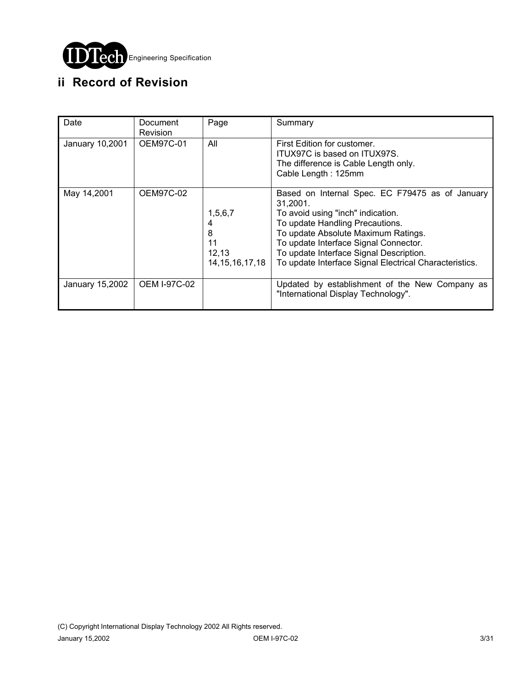

# **ii Record of Revision**

| Date            | Document<br><b>Revision</b> | Page                                              | Summary                                                                                                                                                                                                                                                                                                                  |
|-----------------|-----------------------------|---------------------------------------------------|--------------------------------------------------------------------------------------------------------------------------------------------------------------------------------------------------------------------------------------------------------------------------------------------------------------------------|
| January 10,2001 | OEM97C-01                   | All                                               | First Edition for customer.<br>ITUX97C is based on ITUX97S.<br>The difference is Cable Length only.<br>Cable Length: 125mm                                                                                                                                                                                               |
| May 14,2001     | OEM97C-02                   | 1,5,6,7<br>8<br>11<br>12,13<br>14, 15, 16, 17, 18 | Based on Internal Spec. EC F79475 as of January<br>31.2001.<br>To avoid using "inch" indication.<br>To update Handling Precautions.<br>To update Absolute Maximum Ratings.<br>To update Interface Signal Connector.<br>To update Interface Signal Description.<br>To update Interface Signal Electrical Characteristics. |
| January 15,2002 | <b>OEM I-97C-02</b>         |                                                   | Updated by establishment of the New Company as<br>"International Display Technology".                                                                                                                                                                                                                                    |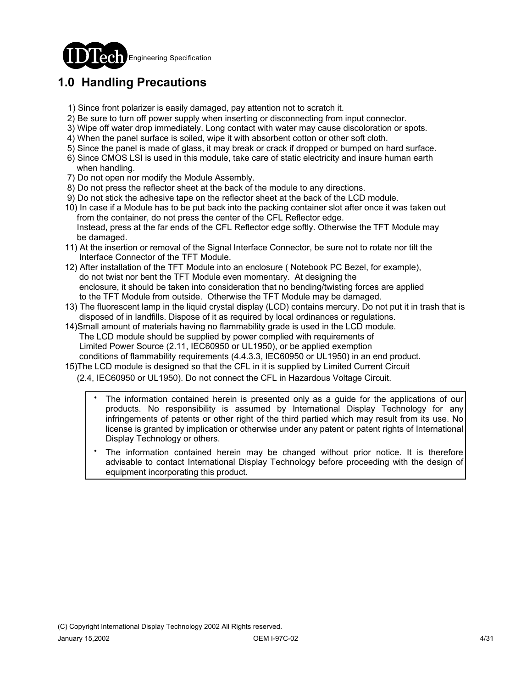

# **1.0 Handling Precautions**

- 1) Since front polarizer is easily damaged, pay attention not to scratch it.
- 2) Be sure to turn off power supply when inserting or disconnecting from input connector.
- 3) Wipe off water drop immediately. Long contact with water may cause discoloration or spots.
- 4) When the panel surface is soiled, wipe it with absorbent cotton or other soft cloth.
- 5) Since the panel is made of glass, it may break or crack if dropped or bumped on hard surface.
- 6) Since CMOS LSI is used in this module, take care of static electricity and insure human earth when handling.
- 7) Do not open nor modify the Module Assembly.
- 8) Do not press the reflector sheet at the back of the module to any directions.
- 9) Do not stick the adhesive tape on the reflector sheet at the back of the LCD module.
- 10) In case if a Module has to be put back into the packing container slot after once it was taken out from the container, do not press the center of the CFL Reflector edge. Instead, press at the far ends of the CFL Reflector edge softly. Otherwise the TFT Module may be damaged.
- 11) At the insertion or removal of the Signal Interface Connector, be sure not to rotate nor tilt the Interface Connector of the TFT Module.
- 12) After installation of the TFT Module into an enclosure ( Notebook PC Bezel, for example), do not twist nor bent the TFT Module even momentary. At designing the enclosure, it should be taken into consideration that no bending/twisting forces are applied to the TFT Module from outside. Otherwise the TFT Module may be damaged.
- 13) The fluorescent lamp in the liquid crystal display (LCD) contains mercury. Do not put it in trash that is disposed of in landfills. Dispose of it as required by local ordinances or regulations.
- 14)Small amount of materials having no flammability grade is used in the LCD module. The LCD module should be supplied by power complied with requirements of Limited Power Source (2.11, IEC60950 or UL1950), or be applied exemption conditions of flammability requirements (4.4.3.3, IEC60950 or UL1950) in an end product.
- 15)The LCD module is designed so that the CFL in it is supplied by Limited Current Circuit

(2.4, IEC60950 or UL1950). Do not connect the CFL in Hazardous Voltage Circuit.

- The information contained herein is presented only as a guide for the applications of our products. No responsibility is assumed by International Display Technology for any infringements of patents or other right of the third partied which may result from its use. No license is granted by implication or otherwise under any patent or patent rights of International Display Technology or others. .
- The information contained herein may be changed without prior notice. It is therefore advisable to contact International Display Technology before proceeding with the design of equipment incorporating this product. .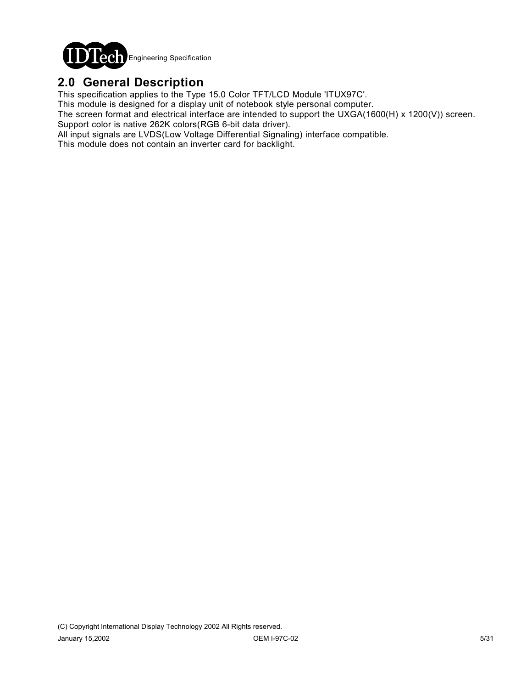

### **2.0 General Description**

This specification applies to the Type 15.0 Color TFT/LCD Module 'ITUX97C'.

This module is designed for a display unit of notebook style personal computer.

The screen format and electrical interface are intended to support the UXGA(1600(H) x 1200(V)) screen. Support color is native 262K colors(RGB 6-bit data driver).

All input signals are LVDS(Low Voltage Differential Signaling) interface compatible.

This module does not contain an inverter card for backlight.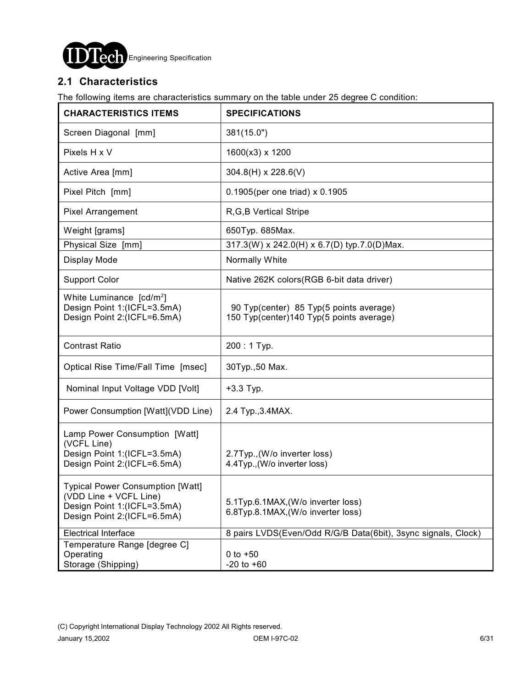

### **2.1 Characteristics**

The following items are characteristics summary on the table under 25 degree C condition:

| <b>CHARACTERISTICS ITEMS</b>                                                                                                    | <b>SPECIFICATIONS</b>                                                               |  |  |  |
|---------------------------------------------------------------------------------------------------------------------------------|-------------------------------------------------------------------------------------|--|--|--|
| Screen Diagonal [mm]                                                                                                            | 381(15.0")                                                                          |  |  |  |
| Pixels H x V                                                                                                                    | 1600(x3) x 1200                                                                     |  |  |  |
| Active Area [mm]                                                                                                                | $304.8(H) \times 228.6(V)$                                                          |  |  |  |
| Pixel Pitch [mm]                                                                                                                | 0.1905(per one triad) x 0.1905                                                      |  |  |  |
| <b>Pixel Arrangement</b>                                                                                                        | R, G, B Vertical Stripe                                                             |  |  |  |
| Weight [grams]                                                                                                                  | 650Typ. 685Max.                                                                     |  |  |  |
| Physical Size [mm]                                                                                                              | 317.3(W) x 242.0(H) x 6.7(D) typ.7.0(D)Max.                                         |  |  |  |
| Display Mode                                                                                                                    | Normally White                                                                      |  |  |  |
| <b>Support Color</b>                                                                                                            | Native 262K colors(RGB 6-bit data driver)                                           |  |  |  |
| White Luminance [cd/m <sup>2</sup> ]<br>Design Point 1:(ICFL=3.5mA)<br>Design Point 2:(ICFL=6.5mA)                              | 90 Typ(center) 85 Typ(5 points average)<br>150 Typ(center)140 Typ(5 points average) |  |  |  |
| <b>Contrast Ratio</b>                                                                                                           | 200: 1 Typ.                                                                         |  |  |  |
| Optical Rise Time/Fall Time [msec]                                                                                              | 30Typ., 50 Max.                                                                     |  |  |  |
| Nominal Input Voltage VDD [Volt]                                                                                                | $+3.3$ Typ.                                                                         |  |  |  |
| Power Consumption [Watt](VDD Line)                                                                                              | 2.4 Typ., 3.4 MAX.                                                                  |  |  |  |
| Lamp Power Consumption [Watt]<br>(VCFL Line)<br>Design Point 1:(ICFL=3.5mA)<br>Design Point 2:(ICFL=6.5mA)                      | 2.7Typ., (W/o inverter loss)<br>4.4Typ., (W/o inverter loss)                        |  |  |  |
| <b>Typical Power Consumption [Watt]</b><br>(VDD Line + VCFL Line)<br>Design Point 1:(ICFL=3.5mA)<br>Design Point 2:(ICFL=6.5mA) | 5.1Typ.6.1MAX, (W/o inverter loss)<br>6.8Typ.8.1MAX, (W/o inverter loss)            |  |  |  |
| <b>Electrical Interface</b>                                                                                                     | 8 pairs LVDS(Even/Odd R/G/B Data(6bit), 3sync signals, Clock)                       |  |  |  |
| Temperature Range [degree C]<br>Operating<br>Storage (Shipping)                                                                 | $0 to +50$<br>$-20$ to $+60$                                                        |  |  |  |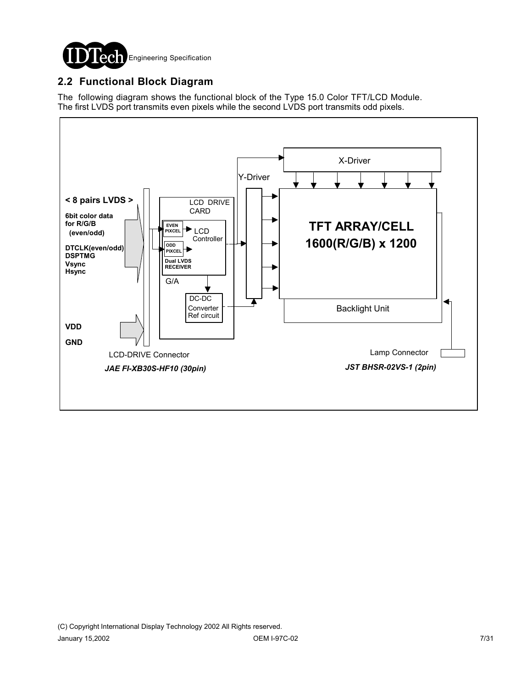

### **2.2 Functional Block Diagram**

The following diagram shows the functional block of the Type 15.0 Color TFT/LCD Module. The first LVDS port transmits even pixels while the second LVDS port transmits odd pixels.

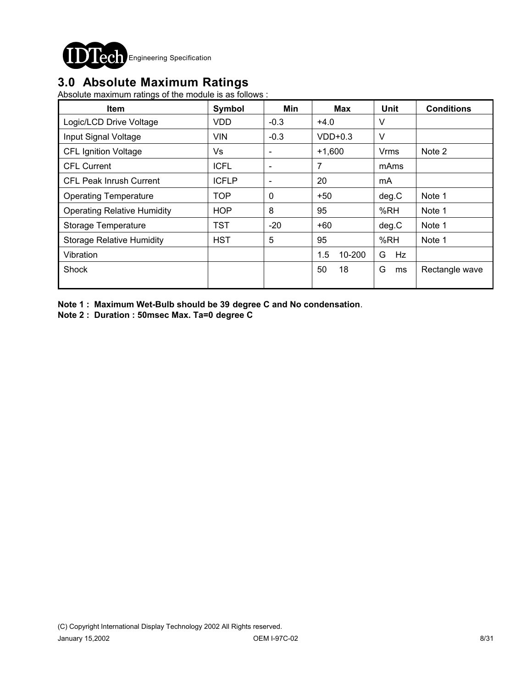

## **3.0 Absolute Maximum Ratings**

Absolute maximum ratings of the module is as follows :

| <b>Item</b>                        | Symbol                                         | Min                      | <b>Max</b>    | <b>Unit</b> | <b>Conditions</b> |
|------------------------------------|------------------------------------------------|--------------------------|---------------|-------------|-------------------|
| Logic/LCD Drive Voltage            | <b>VDD</b>                                     | $-0.3$                   | $+4.0$        | V           |                   |
| Input Signal Voltage               | <b>VIN</b>                                     | $-0.3$                   | $VDD+0.3$     | $\vee$      |                   |
| <b>CFL Ignition Voltage</b>        | Vs                                             | $\overline{\phantom{a}}$ | $+1,600$      | Vrms        | Note 2            |
| <b>CFL Current</b>                 | <b>ICFL</b>                                    | $\overline{\phantom{a}}$ | 7             | mAms        |                   |
| <b>CFL Peak Inrush Current</b>     | <b>ICFLP</b><br>20<br>$\overline{\phantom{a}}$ |                          | mA            |             |                   |
| <b>Operating Temperature</b>       | <b>TOP</b>                                     | $\mathbf 0$              | $+50$         | deg.C       | Note 1            |
| <b>Operating Relative Humidity</b> | <b>HOP</b>                                     | 8                        | 95            | %RH         | Note 1            |
| Storage Temperature                | <b>TST</b>                                     | $-20$                    | +60           | deg.C       | Note 1            |
| <b>Storage Relative Humidity</b>   | <b>HST</b>                                     | 5                        | 95            | %RH         | Note 1            |
| Vibration                          |                                                |                          | 1.5<br>10-200 | G<br>Hz     |                   |
| Shock                              |                                                |                          | 50<br>18      | G<br>ms     | Rectangle wave    |

**Note 1 : Maximum Wet-Bulb should be 39 degree C and No condensation**.

**Note 2 : Duration : 50msec Max. Ta=0 degree C**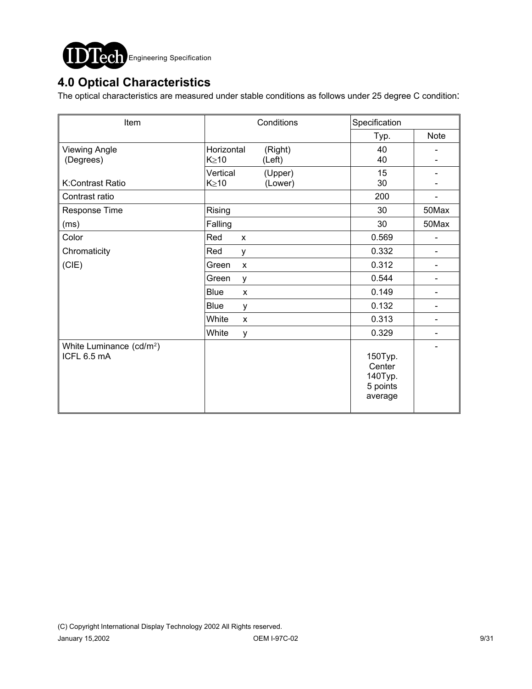

# **4.0 Optical Characteristics**

The optical characteristics are measured under stable conditions as follows under 25 degree C condition:

| Item                                                | Conditions                                     | Specification                                       |                              |
|-----------------------------------------------------|------------------------------------------------|-----------------------------------------------------|------------------------------|
|                                                     |                                                | Typ.                                                | Note                         |
| <b>Viewing Angle</b><br>(Degrees)                   | Horizontal<br>(Right)<br>$K \geq 10$<br>(Left) | 40<br>40                                            |                              |
| K:Contrast Ratio                                    | Vertical<br>(Upper)<br>$K \geq 10$<br>(Lower)  | 15<br>30                                            |                              |
| Contrast ratio                                      |                                                | 200                                                 |                              |
| Response Time                                       | Rising                                         | 30                                                  | 50Max                        |
| (ms)                                                | Falling                                        | 30                                                  | 50Max                        |
| Color                                               | Red<br>$\mathsf{x}$                            | 0.569                                               |                              |
| Chromaticity                                        | Red<br>y                                       | 0.332                                               | $\overline{\phantom{0}}$     |
| (CIE)                                               | Green<br>$\pmb{\times}$                        | 0.312                                               |                              |
|                                                     | Green<br>y                                     | 0.544                                               | $\qquad \qquad \blacksquare$ |
|                                                     | <b>Blue</b><br>$\mathsf{x}$                    | 0.149                                               | $\qquad \qquad \blacksquare$ |
|                                                     | <b>Blue</b><br>y                               | 0.132                                               |                              |
|                                                     | White<br>X                                     | 0.313                                               | $\qquad \qquad \blacksquare$ |
|                                                     | White<br>У                                     | 0.329                                               |                              |
| White Luminance (cd/m <sup>2</sup> )<br>ICFL 6.5 mA |                                                | 150Typ.<br>Center<br>140Typ.<br>5 points<br>average |                              |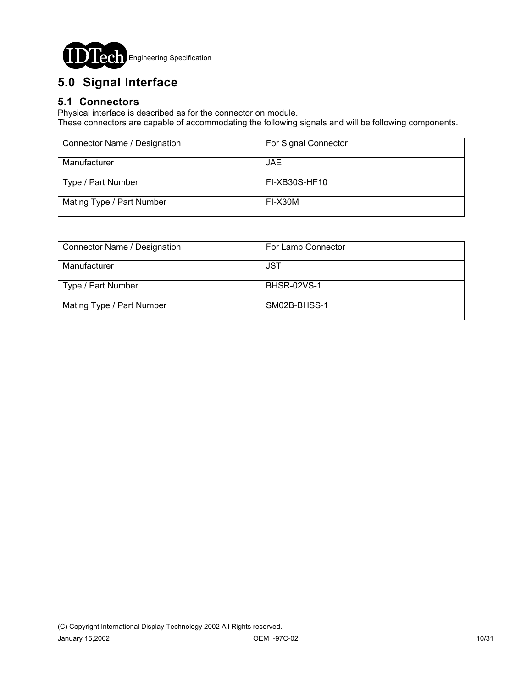

# **5.0 Signal Interface**

### **5.1 Connectors**

Physical interface is described as for the connector on module.

These connectors are capable of accommodating the following signals and will be following components.

| Connector Name / Designation | For Signal Connector |
|------------------------------|----------------------|
| Manufacturer                 | JAE.                 |
| Type / Part Number           | FI-XB30S-HF10        |
| Mating Type / Part Number    | FI-X30M              |

| Connector Name / Designation | For Lamp Connector |
|------------------------------|--------------------|
| Manufacturer                 | JST                |
| Type / Part Number           | <b>BHSR-02VS-1</b> |
| Mating Type / Part Number    | SM02B-BHSS-1       |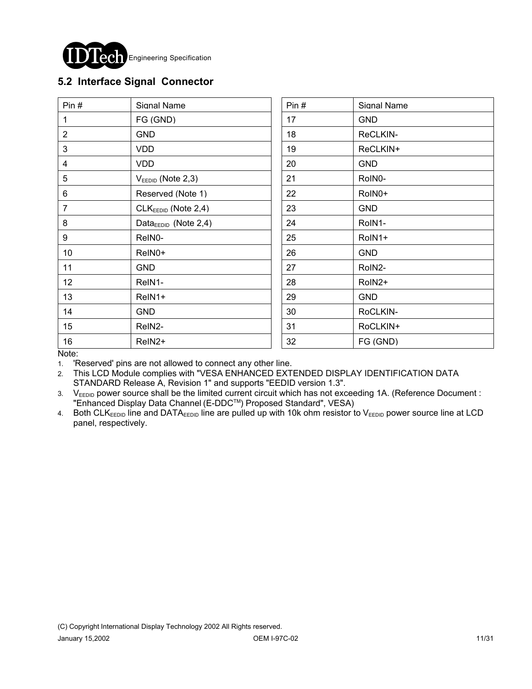

### **5.2 Interface Signal Connector**

| Pin $#$        | Signal Name                      | Pin# | Signal Name |
|----------------|----------------------------------|------|-------------|
| 1              | FG (GND)                         | 17   | <b>GND</b>  |
| $\overline{2}$ | <b>GND</b>                       | 18   | ReCLKIN-    |
| 3              | <b>VDD</b>                       | 19   | ReCLKIN+    |
| 4              | VDD.                             | 20   | <b>GND</b>  |
| 5              | $V_{EEDID}$ (Note 2,3)           | 21   | RoIN0-      |
| 6              | Reserved (Note 1)                | 22   | RoIN0+      |
| $\overline{7}$ | CLK <sub>EEDID</sub> (Note 2,4)  | 23   | <b>GND</b>  |
| 8              | Data <sub>EEDID</sub> (Note 2,4) | 24   | RoIN1-      |
| 9              | ReIN0-                           | 25   | RoIN1+      |
| 10             | ReIN0+                           | 26   | <b>GND</b>  |
| 11             | <b>GND</b>                       | 27   | RoIN2-      |
| 12             | ReIN1-                           | 28   | RoIN2+      |
| 13             | ReIN1+                           | 29   | <b>GND</b>  |
| 14             | <b>GND</b>                       | 30   | RoCLKIN-    |
| 15             | ReIN2-                           | 31   | RoCLKIN+    |
| 16             | ReIN <sub>2</sub> +              | 32   | FG (GND)    |

Note:

1. 'Reserved' pins are not allowed to connect any other line.

2. This LCD Module complies with "VESA ENHANCED EXTENDED DISPLAY IDENTIFICATION DATA STANDARD Release A, Revision 1" and supports "EEDID version 1.3".

3. V<sub>EEDID</sub> power source shall be the limited current circuit which has not exceeding 1A. (Reference Document : "Enhanced Display Data Channel (E-DDCTM) Proposed Standard", VESA)

4. Both CLK<sub>EEDID</sub> line and DATA<sub>EEDID</sub> line are pulled up with 10k ohm resistor to V<sub>EEDID</sub> power source line at LCD panel, respectively.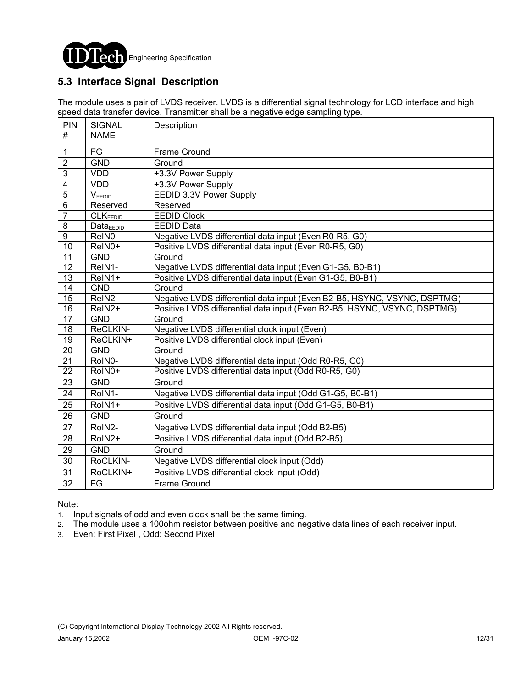

### **5.3 Interface Signal Description**

The module uses a pair of LVDS receiver. LVDS is a differential signal technology for LCD interface and high speed data transfer device. Transmitter shall be a negative edge sampling type.

| PIN<br>#                | <b>SIGNAL</b><br><b>NAME</b> | Description                                                              |
|-------------------------|------------------------------|--------------------------------------------------------------------------|
| $\mathbf{1}$            | FG                           | Frame Ground                                                             |
| $\overline{2}$          | <b>GND</b>                   |                                                                          |
| $\overline{3}$          | <b>VDD</b>                   | Ground                                                                   |
|                         |                              | +3.3V Power Supply                                                       |
| $\overline{\mathbf{4}}$ | <b>VDD</b>                   | +3.3V Power Supply                                                       |
| $\overline{5}$          | VEEDID                       | EEDID 3.3V Power Supply                                                  |
| $\overline{6}$          | Reserved                     | Reserved                                                                 |
| $\overline{7}$          | CLK <sub>EEDID</sub>         | <b>EEDID Clock</b>                                                       |
| $\bf 8$                 | Data <sub>EDID</sub>         | <b>EEDID Data</b>                                                        |
| $\boldsymbol{9}$        | ReIN0-                       | Negative LVDS differential data input (Even R0-R5, G0)                   |
| 10                      | ReIN0+                       | Positive LVDS differential data input (Even R0-R5, G0)                   |
| 11                      | <b>GND</b>                   | Ground                                                                   |
| $\overline{12}$         | ReIN1-                       | Negative LVDS differential data input (Even G1-G5, B0-B1)                |
| $\overline{13}$         | ReIN1+                       | Positive LVDS differential data input (Even G1-G5, B0-B1)                |
| $\overline{14}$         | <b>GND</b>                   | Ground                                                                   |
| 15                      | ReIN <sub>2</sub> -          | Negative LVDS differential data input (Even B2-B5, HSYNC, VSYNC, DSPTMG) |
| $\overline{16}$         | $\overline{Re}$ IN2+         | Positive LVDS differential data input (Even B2-B5, HSYNC, VSYNC, DSPTMG) |
| $\overline{17}$         | <b>GND</b>                   | Ground                                                                   |
| 18                      | ReCLKIN-                     | Negative LVDS differential clock input (Even)                            |
| $\overline{19}$         | ReCLKIN+                     | Positive LVDS differential clock input (Even)                            |
| $\overline{20}$         | <b>GND</b>                   | Ground                                                                   |
| $\overline{21}$         | RoIN0-                       | Negative LVDS differential data input (Odd R0-R5, G0)                    |
| 22                      | RoIN0+                       | Positive LVDS differential data input (Odd R0-R5, G0)                    |
| 23                      | <b>GND</b>                   | Ground                                                                   |
| 24                      | RoIN1-                       | Negative LVDS differential data input (Odd G1-G5, B0-B1)                 |
| 25                      | RoIN1+                       | Positive LVDS differential data input (Odd G1-G5, B0-B1)                 |
| 26                      | <b>GND</b>                   | Ground                                                                   |
| 27                      | RoIN2-                       | Negative LVDS differential data input (Odd B2-B5)                        |
| 28                      | RoIN2+                       | Positive LVDS differential data input (Odd B2-B5)                        |
| 29                      | <b>GND</b>                   | Ground                                                                   |
| 30                      | RoCLKIN-                     | Negative LVDS differential clock input (Odd)                             |
| 31                      | RoCLKIN+                     | Positive LVDS differential clock input (Odd)                             |
| 32                      | FG                           | <b>Frame Ground</b>                                                      |

#### Note:

1. Input signals of odd and even clock shall be the same timing.

- 2. The module uses a 100ohm resistor between positive and negative data lines of each receiver input.
- 3. Even: First Pixel , Odd: Second Pixel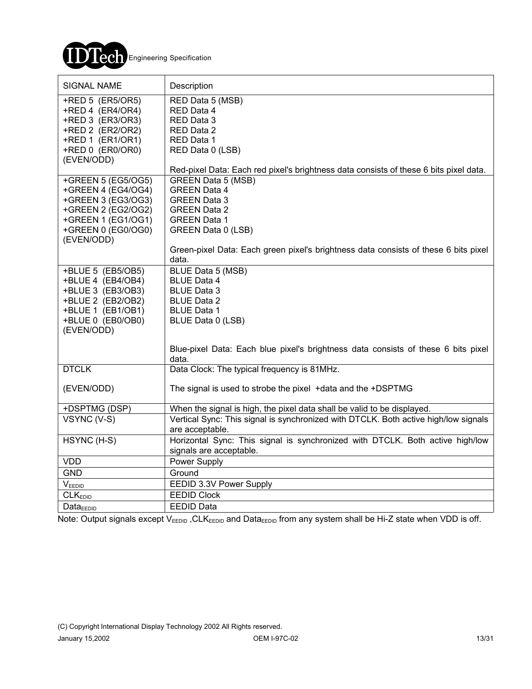

| <b>SIGNAL NAME</b>                                                                                                                             | Description                                                                                                                                                                           |
|------------------------------------------------------------------------------------------------------------------------------------------------|---------------------------------------------------------------------------------------------------------------------------------------------------------------------------------------|
| +RED 5 (ER5/OR5)<br>+RED 4 (ER4/OR4)<br>+RED 3 (ER3/OR3)<br>+RED 2 (ER2/OR2)<br>+RED 1 (ER1/OR1)<br>+RED 0 (ER0/OR0)<br>(EVEN/ODD)             | RED Data 5 (MSB)<br>RED Data 4<br>RED Data 3<br>RED Data 2<br>RED Data 1<br>RED Data 0 (LSB)<br>Red-pixel Data: Each red pixel's brightness data consists of these 6 bits pixel data. |
| +GREEN 5 (EG5/OG5)<br>+GREEN 4 (EG4/OG4)<br>+GREEN 3 (EG3/OG3)<br>+GREEN 2 (EG2/OG2)<br>+GREEN 1 (EG1/OG1)<br>+GREEN 0 (EG0/OG0)<br>(EVEN/ODD) | <b>GREEN Data 5 (MSB)</b><br><b>GREEN Data 4</b><br><b>GREEN Data 3</b><br><b>GREEN Data 2</b><br><b>GREEN Data 1</b><br>GREEN Data 0 (LSB)                                           |
|                                                                                                                                                | Green-pixel Data: Each green pixel's brightness data consists of these 6 bits pixel<br>data.                                                                                          |
| +BLUE 5 (EB5/OB5)<br>+BLUE 4 (EB4/OB4)<br>+BLUE 3 (EB3/OB3)<br>+BLUE 2 (EB2/OB2)<br>+BLUE 1 (EB1/OB1)<br>+BLUE 0 (EB0/OB0)<br>(EVEN/ODD)       | BLUE Data 5 (MSB)<br><b>BLUE Data 4</b><br><b>BLUE Data 3</b><br><b>BLUE Data 2</b><br><b>BLUE Data 1</b><br>BLUE Data 0 (LSB)                                                        |
|                                                                                                                                                | Blue-pixel Data: Each blue pixel's brightness data consists of these 6 bits pixel<br>data.                                                                                            |
| <b>DTCLK</b>                                                                                                                                   | Data Clock: The typical frequency is 81MHz.                                                                                                                                           |
| (EVEN/ODD)                                                                                                                                     | The signal is used to strobe the pixel +data and the +DSPTMG                                                                                                                          |
| +DSPTMG (DSP)<br>VSYNC (V-S)                                                                                                                   | When the signal is high, the pixel data shall be valid to be displayed.<br>Vertical Sync: This signal is synchronized with DTCLK. Both active high/low signals<br>are acceptable.     |
| HSYNC (H-S)                                                                                                                                    | Horizontal Sync: This signal is synchronized with DTCLK. Both active high/low<br>signals are acceptable.                                                                              |
| <b>VDD</b>                                                                                                                                     | Power Supply                                                                                                                                                                          |
| <b>GND</b>                                                                                                                                     | Ground                                                                                                                                                                                |
| VEEDID                                                                                                                                         | EEDID 3.3V Power Supply                                                                                                                                                               |
| <b>CLKEDID</b>                                                                                                                                 | <b>EEDID Clock</b>                                                                                                                                                                    |
| DataEEDID                                                                                                                                      | <b>EEDID Data</b>                                                                                                                                                                     |

Note: Output signals except V<sub>EEDID</sub>, CLK<sub>EEDID</sub> and Data<sub>EEDID</sub> from any system shall be Hi-Z state when VDD is off.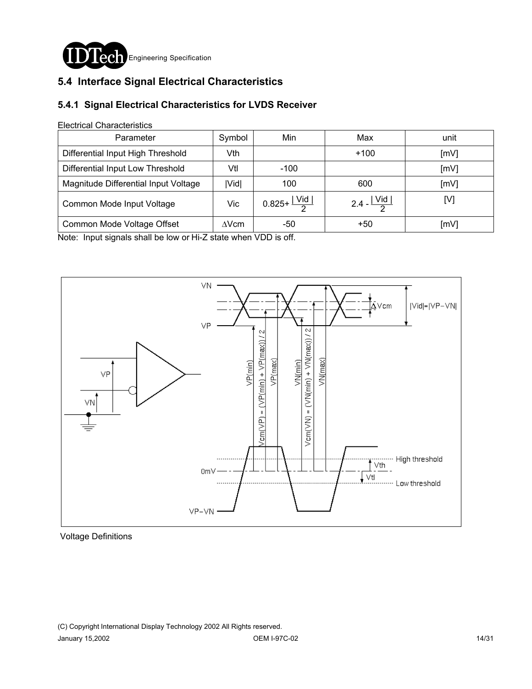

### **5.4 Interface Signal Electrical Characteristics**

### **5.4.1 Signal Electrical Characteristics for LVDS Receiver**

#### Electrical Characteristics

| Parameter                            | Symbol | Min                              | Max                     | unit |
|--------------------------------------|--------|----------------------------------|-------------------------|------|
| Differential Input High Threshold    | Vth    |                                  | $+100$                  | [mV] |
| Differential Input Low Threshold     | Vtl    | $-100$                           |                         | [mV] |
| Magnitude Differential Input Voltage | Vid    | 100                              | 600                     | [mV] |
| Common Mode Input Voltage            | Vic    | $0.825 + \frac{ \text{Vid} }{2}$ | 2.4 - $\frac{ Vid }{2}$ | וען  |
| Common Mode Voltage Offset           | AVcm   | -50                              | $+50$                   | [mV] |

Note: Input signals shall be low or Hi-Z state when VDD is off.



Voltage Definitions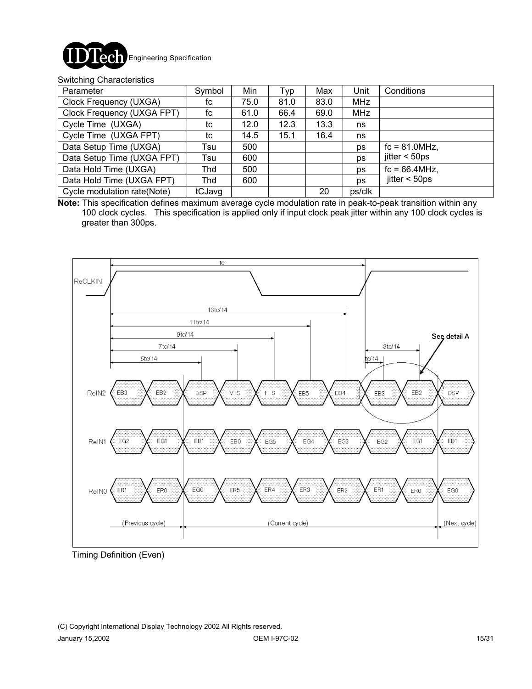

#### Switching Characteristics

| Parameter                   | Symbol | Min  | Typ  | Max  | Unit      | Conditions                     |
|-----------------------------|--------|------|------|------|-----------|--------------------------------|
| Clock Frequency (UXGA)      | fc     | 75.0 | 81.0 | 83.0 | MHz       |                                |
| Clock Frequency (UXGA FPT)  | fc     | 61.0 | 66.4 | 69.0 | MHz       |                                |
| Cycle Time (UXGA)           | tc     | 12.0 | 12.3 | 13.3 | ns        |                                |
| Cycle Time (UXGA FPT)       | tc     | 14.5 | 15.1 | 16.4 | ns        |                                |
| Data Setup Time (UXGA)      | Tsu    | 500  |      |      | ps        | $fc = 81.0 MHz$ ,              |
| Data Setup Time (UXGA FPT)  | Tsu    | 600  |      |      | ps        | $\text{jitter} < 50 \text{ps}$ |
| Data Hold Time (UXGA)       | Thd    | 500  |      |      | ps        | $fc = 66.4$ MHz,               |
| Data Hold Time (UXGA FPT)   | Thd    | 600  |      |      | <b>ps</b> | $\text{jitter} < 50 \text{ps}$ |
| Cycle modulation rate(Note) | tCJavg |      |      | 20   | ps/clk    |                                |

**Note:** This specification defines maximum average cycle modulation rate in peak-to-peak transition within any 100 clock cycles. This specification is applied only if input clock peak jitter within any 100 clock cycles is greater than 300ps.



Timing Definition (Even)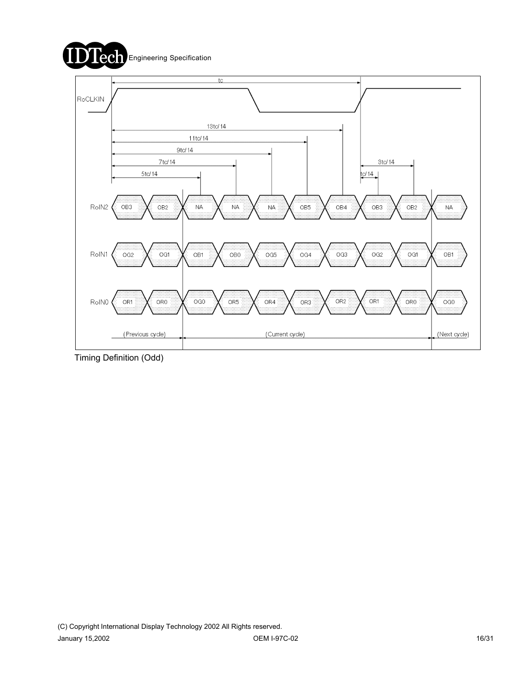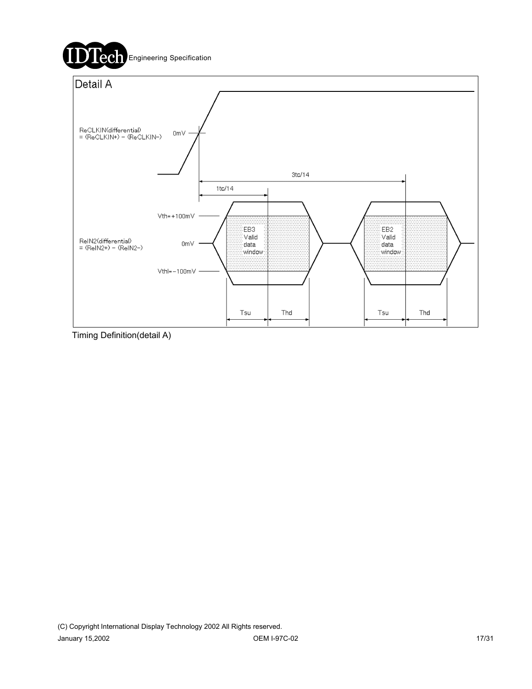

Timing Definition(detail A)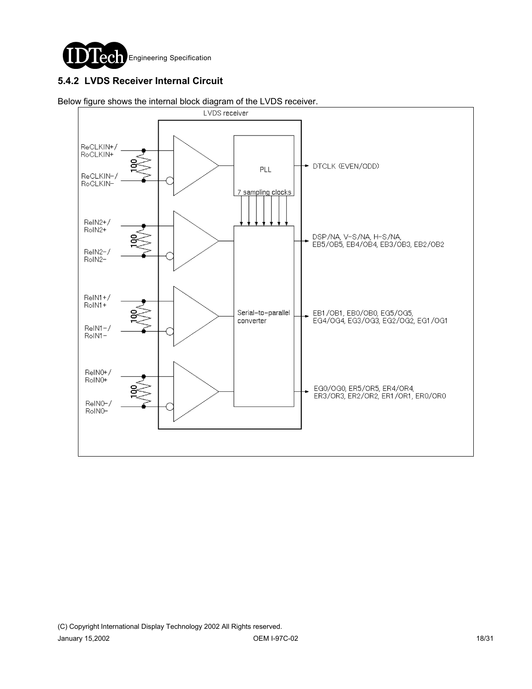

### **5.4.2 LVDS Receiver Internal Circuit**



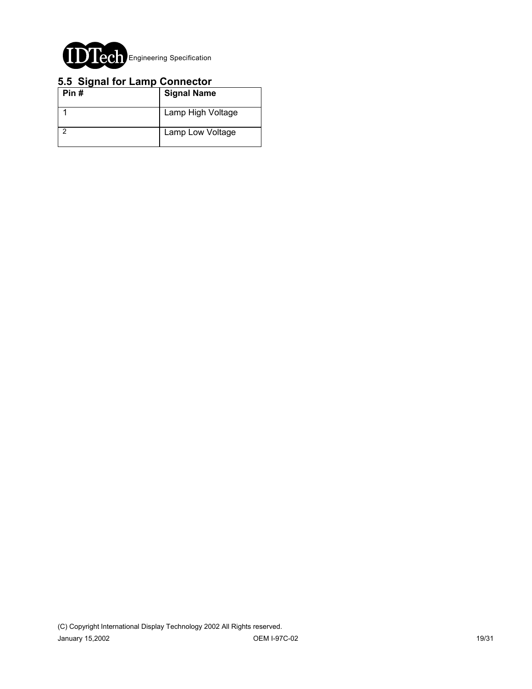

### **5.5 Signal for Lamp Connector**

| Pin# | <b>Signal Name</b> |
|------|--------------------|
|      | Lamp High Voltage  |
|      | Lamp Low Voltage   |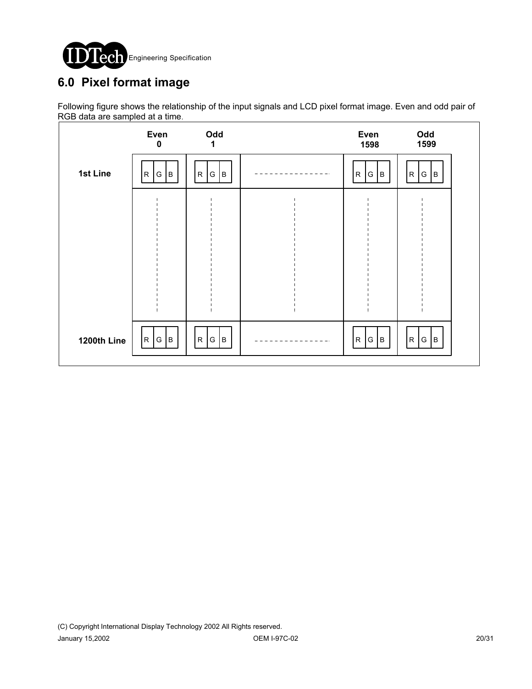

# **6.0 Pixel format image**

Following figure shows the relationship of the input signals and LCD pixel format image. Even and odd pair of RGB data are sampled at a time.

|             | Even<br>$\mathbf 0$       | Odd<br>1                          | Even<br>1598                   | Odd<br>1599            |  |
|-------------|---------------------------|-----------------------------------|--------------------------------|------------------------|--|
| 1st Line    | G  <br>${\sf R}$<br>B     | ${\mathsf G}$<br>${\sf R}$<br>ļВ. | ${\sf R}$<br>G<br>$\,$ B       | G<br>$\mathsf{R}$<br>B |  |
|             |                           |                                   |                                |                        |  |
|             |                           |                                   |                                |                        |  |
|             |                           |                                   |                                |                        |  |
|             |                           |                                   |                                |                        |  |
| 1200th Line | G <br>$\overline{R}$<br>B | G<br>${\sf R}$<br>B               | ${\sf R}$<br>G<br>$\, {\bf B}$ | G<br> B <br>R          |  |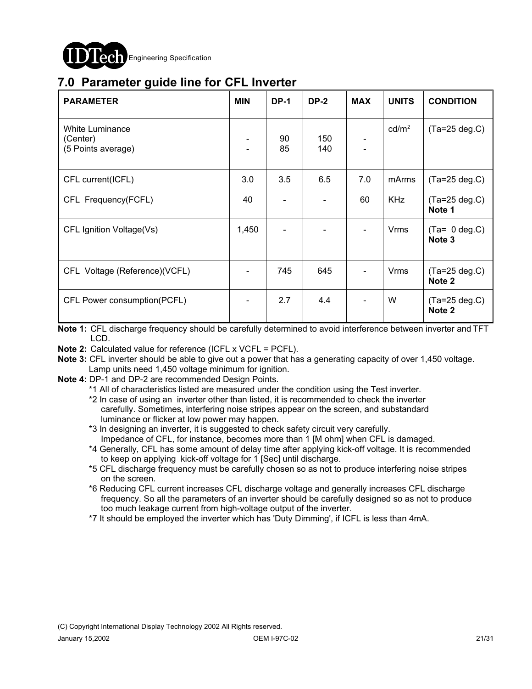

# **7.0 Parameter guide line for CFL Inverter**

| <b>PARAMETER</b>                                  | <b>MIN</b>               | <b>DP-1</b> | <b>DP-2</b> | <b>MAX</b> | <b>UNITS</b>      | <b>CONDITION</b>                     |
|---------------------------------------------------|--------------------------|-------------|-------------|------------|-------------------|--------------------------------------|
| White Luminance<br>(Center)<br>(5 Points average) |                          | 90<br>85    | 150<br>140  |            | cd/m <sup>2</sup> | $(Ta=25 deg.C)$                      |
| CFL current(ICFL)                                 | 3.0                      | 3.5         | 6.5         | 7.0        | mArms             | $(Ta=25 deg.C)$                      |
| CFL Frequency(FCFL)                               | 40                       |             |             | 60         | <b>KHz</b>        | $(Ta=25 deg.C)$<br>Note 1            |
| CFL Ignition Voltage(Vs)                          | 1,450                    |             |             |            | <b>Vrms</b>       | $(Ta= 0 deg.C)$<br>Note <sub>3</sub> |
| CFL Voltage (Reference)(VCFL)                     |                          | 745         | 645         |            | <b>Vrms</b>       | $(Ta=25 deg.C)$<br>Note <sub>2</sub> |
| CFL Power consumption(PCFL)                       | $\overline{\phantom{a}}$ | 2.7         | 4.4         |            | W                 | $(Ta=25 deg.C)$<br>Note <sub>2</sub> |

**Note 1:** CFL discharge frequency should be carefully determined to avoid interference between inverter and TFT LCD.

**Note 2:** Calculated value for reference (ICFL x VCFL = PCFL).

- **Note 3:** CFL inverter should be able to give out a power that has a generating capacity of over 1,450 voltage. Lamp units need 1,450 voltage minimum for ignition.
- **Note 4:** DP-1 and DP-2 are recommended Design Points.

\*1 All of characteristics listed are measured under the condition using the Test inverter.

- \*2 In case of using an inverter other than listed, it is recommended to check the inverter carefully. Sometimes, interfering noise stripes appear on the screen, and substandard luminance or flicker at low power may happen.
- \*3 In designing an inverter, it is suggested to check safety circuit very carefully. Impedance of CFL, for instance, becomes more than 1 [M ohm] when CFL is damaged.
- \*4 Generally, CFL has some amount of delay time after applying kick-off voltage. It is recommended to keep on applying kick-off voltage for 1 [Sec] until discharge.
- \*5 CFL discharge frequency must be carefully chosen so as not to produce interfering noise stripes on the screen.
- \*6 Reducing CFL current increases CFL discharge voltage and generally increases CFL discharge frequency. So all the parameters of an inverter should be carefully designed so as not to produce too much leakage current from high-voltage output of the inverter.
- \*7 It should be employed the inverter which has 'Duty Dimming', if ICFL is less than 4mA.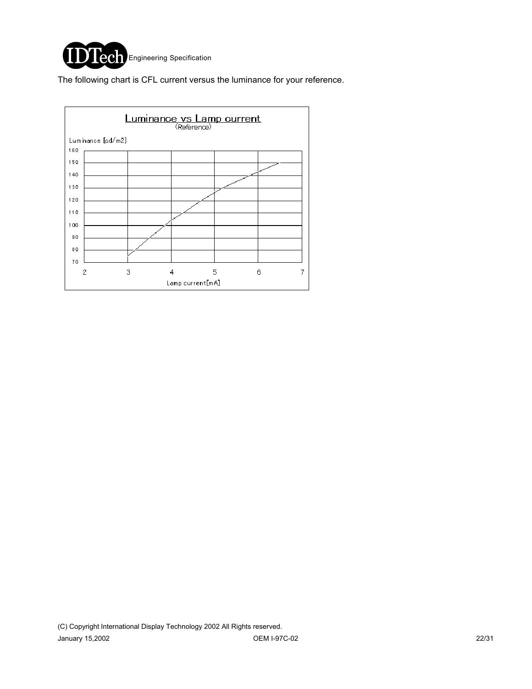

The following chart is CFL current versus the luminance for your reference.

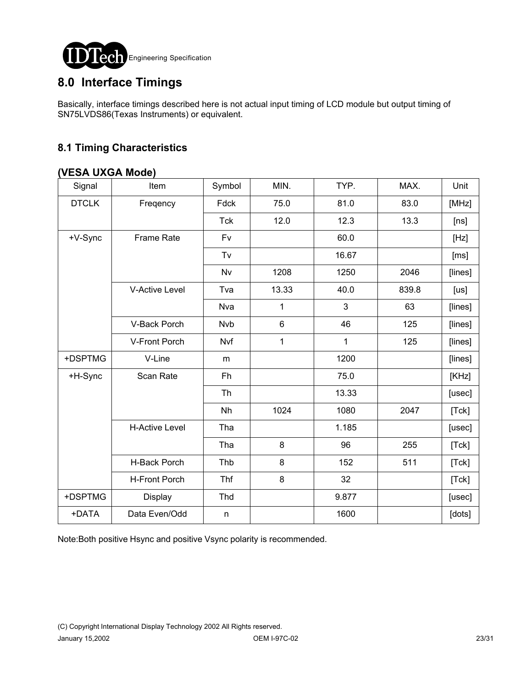

## **8.0 Interface Timings**

Basically, interface timings described here is not actual input timing of LCD module but output timing of SN75LVDS86(Texas Instruments) or equivalent.

### **8.1 Timing Characteristics**

### **(VESA UXGA Mode)**

| Signal       | Item                  | Symbol       | MIN.            | TYP.  | MAX.  | Unit    |
|--------------|-----------------------|--------------|-----------------|-------|-------|---------|
| <b>DTCLK</b> | Freqency              | Fdck         | 75.0            | 81.0  | 83.0  | [MHz]   |
|              |                       | <b>Tck</b>   | 12.0            | 12.3  | 13.3  | [ns]    |
| +V-Sync      | <b>Frame Rate</b>     | Fv           |                 | 60.0  |       | [Hz]    |
|              |                       | Tv           |                 | 16.67 |       | [ms]    |
|              |                       | Nv           | 1208            | 1250  | 2046  | [lines] |
|              | <b>V-Active Level</b> | Tva          | 13.33           | 40.0  | 839.8 | [us]    |
|              |                       | Nva          | 1               | 3     | 63    | [lines] |
|              | V-Back Porch          | <b>Nvb</b>   | $6\phantom{1}6$ | 46    | 125   | [lines] |
|              | V-Front Porch         | Nvf          | 1               | 1     | 125   | [lines] |
| +DSPTMG      | V-Line                | m            |                 | 1200  |       | [lines] |
| +H-Sync      | Scan Rate             | Fh           |                 | 75.0  |       | [KHz]   |
|              |                       | Th           |                 | 13.33 |       | [usec]  |
|              |                       | Nh           | 1024            | 1080  | 2047  | [Tck]   |
|              | <b>H-Active Level</b> | Tha          |                 | 1.185 |       | [usec]  |
|              |                       | Tha          | 8               | 96    | 255   | [Tck]   |
|              | H-Back Porch          | Thb          | 8               | 152   | 511   | [Tck]   |
|              | <b>H-Front Porch</b>  | <b>Thf</b>   | 8               | 32    |       | [Tck]   |
| +DSPTMG      | Display               | Thd          |                 | 9.877 |       | [usec]  |
| +DATA        | Data Even/Odd         | $\mathsf{n}$ |                 | 1600  |       | [dots]  |

Note:Both positive Hsync and positive Vsync polarity is recommended.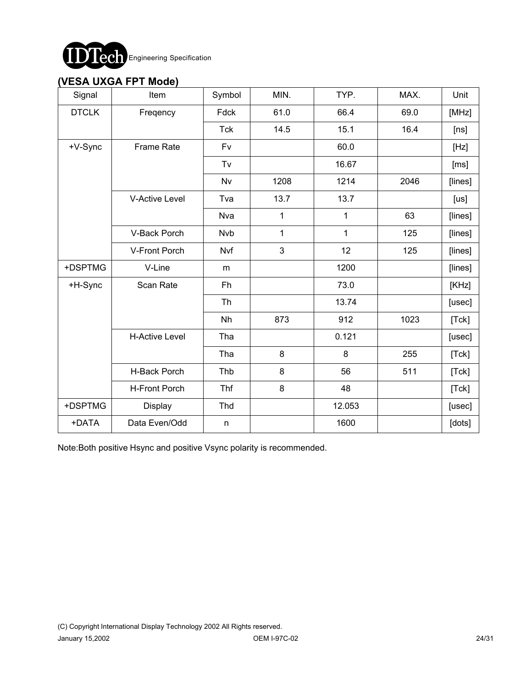

### **(VESA UXGA FPT Mode)**

| Signal       | Item                  | Symbol     | MIN. | TYP.   | MAX. | Unit    |
|--------------|-----------------------|------------|------|--------|------|---------|
| <b>DTCLK</b> | Freqency              | Fdck       | 61.0 | 66.4   | 69.0 | [MHz]   |
|              |                       | <b>Tck</b> | 14.5 | 15.1   | 16.4 | [ns]    |
| +V-Sync      | <b>Frame Rate</b>     | Fv         |      | 60.0   |      | [Hz]    |
|              |                       | Tv         |      | 16.67  |      | [ms]    |
|              |                       | <b>Nv</b>  | 1208 | 1214   | 2046 | [lines] |
|              | <b>V-Active Level</b> | Tva        | 13.7 | 13.7   |      | [us]    |
|              |                       | Nva        | 1    | 1      | 63   | [lines] |
|              | V-Back Porch          | Nvb        | 1    | 1      | 125  | [lines] |
|              | V-Front Porch         | Nvf        | 3    | 12     | 125  | [lines] |
| +DSPTMG      | V-Line                | m          |      | 1200   |      | [lines] |
| +H-Sync      | Scan Rate             | Fh         |      | 73.0   |      | [KHz]   |
|              |                       | Th         |      | 13.74  |      | [usec]  |
|              |                       | Nh         | 873  | 912    | 1023 | [Tck]   |
|              | <b>H-Active Level</b> | Tha        |      | 0.121  |      | [usec]  |
|              |                       | Tha        | 8    | 8      | 255  | [Tck]   |
|              | H-Back Porch          | Thb        | 8    | 56     | 511  | [Tck]   |
|              | <b>H-Front Porch</b>  | <b>Thf</b> | 8    | 48     |      | [Tck]   |
| +DSPTMG      | Display               | Thd        |      | 12.053 |      | [usec]  |
| +DATA        | Data Even/Odd         | n          |      | 1600   |      | [dots]  |

Note:Both positive Hsync and positive Vsync polarity is recommended.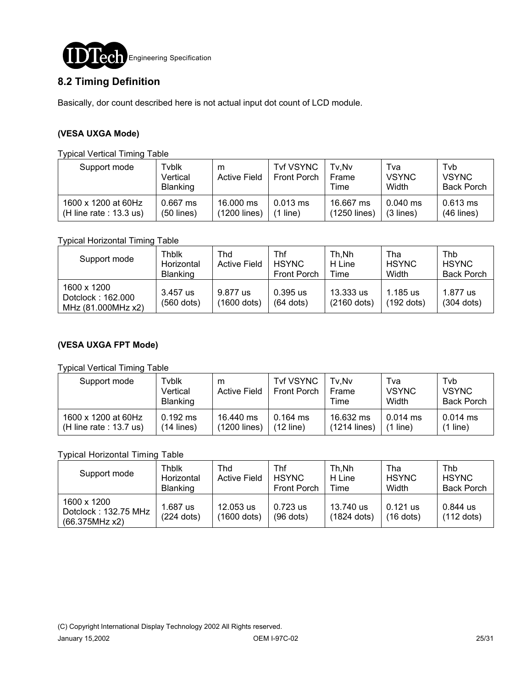

### **8.2 Timing Definition**

Basically, dor count described here is not actual input dot count of LCD module.

#### **(VESA UXGA Mode)**

#### Typical Vertical Timing Table

| Support mode              | Tyblk<br>Vertical<br><b>Blanking</b> | m<br><b>Active Field</b> | <b>Tvf VSYNC</b><br><b>Front Porch</b> | Tv.Nv<br>Frame<br>Time | Tva<br><b>VSYNC</b><br>Width | Tvb<br><b>VSYNC</b><br><b>Back Porch</b> |
|---------------------------|--------------------------------------|--------------------------|----------------------------------------|------------------------|------------------------------|------------------------------------------|
| 1600 x 1200 at 60Hz       | $0.667$ ms                           | 16,000 ms                | $0.013$ ms                             | 16.667 ms              | $0.040$ ms                   | $0.613$ ms                               |
| (H line rate : $13.3$ us) | $(50$ lines)                         | (1200 lines)             | line)                                  | (1250 lines)           | $(3$ lines)                  | $(46$ lines)                             |

Typical Horizontal Timing Table

| Support mode                                           | Thblk<br>Horizontal<br><b>Blanking</b> | Thd<br><b>Active Field</b> | Thf<br><b>HSYNC</b><br><b>Front Porch</b> | Th.Nh<br>H Line<br>Time    | Tha<br><b>HSYNC</b><br>Width | Thb<br><b>HSYNC</b><br><b>Back Porch</b> |
|--------------------------------------------------------|----------------------------------------|----------------------------|-------------------------------------------|----------------------------|------------------------------|------------------------------------------|
| 1600 x 1200<br>Dotclock: 162.000<br>MHz (81.000MHz x2) | 3.457 us<br>$(560$ dots)               | 9.877 us<br>(1600 dots)    | $0.395$ us<br>$(64$ dots)                 | 13.333 us<br>$(2160$ dots) | 1.185 us<br>(192 dots)       | 1.877 us<br>$(304$ dots)                 |

#### **(VESA UXGA FPT Mode)**

#### Typical Vertical Timing Table

| Support mode              | Tvblk<br>Vertical<br><b>Blanking</b> | m<br><b>Active Field</b> | <b>Tvf VSYNC</b><br><b>Front Porch</b> | Tv.Nv<br>Frame<br>Time | Tva<br><b>VSYNC</b><br>Width | Tvb<br><b>VSYNC</b><br><b>Back Porch</b> |
|---------------------------|--------------------------------------|--------------------------|----------------------------------------|------------------------|------------------------------|------------------------------------------|
| 1600 x 1200 at 60Hz       | $0.192$ ms                           | 16.440 ms                | $0.164$ ms                             | 16.632 ms              | $0.014$ ms                   | $0.014$ ms                               |
| (H line rate : $13.7$ us) | $(14$ lines)                         | (1200 lines)             | $(12$ line)                            | $(1214$ lines)         | $(1$ line)                   | $(1$ line)                               |

#### Typical Horizontal Timing Table

| Support mode                                          | Thblk<br>Horizontal<br><b>Blanking</b> | Thd<br><b>Active Field</b> | Thf<br><b>HSYNC</b><br><b>Front Porch</b> | Th.Nh<br>H Line<br>Time    | Tha<br><b>HSYNC</b><br>Width | Thb<br><b>HSYNC</b><br><b>Back Porch</b> |
|-------------------------------------------------------|----------------------------------------|----------------------------|-------------------------------------------|----------------------------|------------------------------|------------------------------------------|
| 1600 x 1200<br>Dotclock: 132.75 MHz<br>(66.375MHz x2) | 1.687 us<br>$(224$ dots)               | 12.053 us<br>(1600 dots)   | 0.723 us<br>$(96$ dots)                   | 13.740 us<br>$(1824$ dots) | $0.121$ us<br>$(16$ dots)    | 0.844 us<br>$(112$ dots)                 |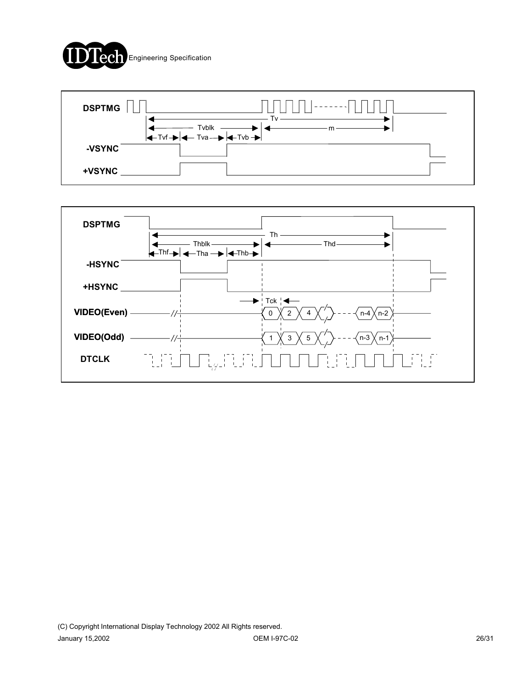



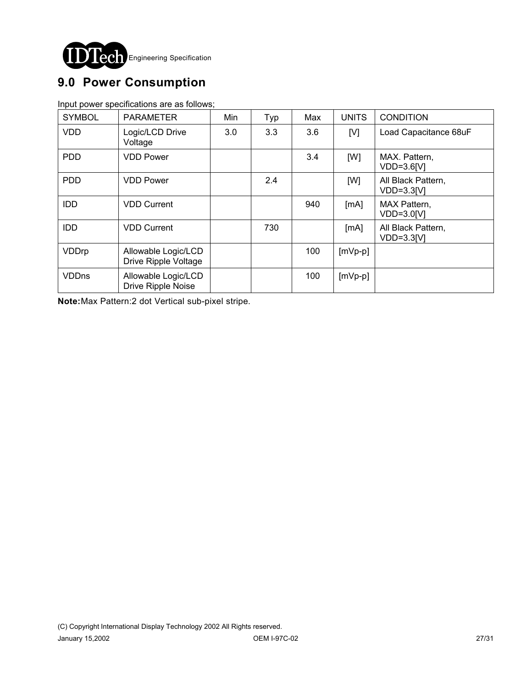

# **9.0 Power Consumption**

Input power specifications are as follows;

| <b>SYMBOL</b> | <b>PARAMETER</b>                            | Min | Typ | Max | <b>UNITS</b> | <b>CONDITION</b>                   |
|---------------|---------------------------------------------|-----|-----|-----|--------------|------------------------------------|
| <b>VDD</b>    | Logic/LCD Drive<br>Voltage                  | 3.0 | 3.3 | 3.6 | [V]          | Load Capacitance 68uF              |
| <b>PDD</b>    | <b>VDD Power</b>                            |     |     | 3.4 | [W]          | MAX. Pattern,<br>VDD=3.6[V]        |
| <b>PDD</b>    | <b>VDD Power</b>                            |     | 2.4 |     | [W]          | All Black Pattern,<br>$VDD=3.3[V]$ |
| <b>IDD</b>    | <b>VDD Current</b>                          |     |     | 940 | [MA]         | MAX Pattern,<br>VDD=3.0[V]         |
| <b>IDD</b>    | <b>VDD Current</b>                          |     | 730 |     | [MA]         | All Black Pattern,<br>$VDD=3.3IVI$ |
| VDDrp         | Allowable Logic/LCD<br>Drive Ripple Voltage |     |     | 100 | $[mVp-p]$    |                                    |
| <b>VDDns</b>  | Allowable Logic/LCD<br>Drive Ripple Noise   |     |     | 100 | $[mVp-p]$    |                                    |

**Note:**Max Pattern:2 dot Vertical sub-pixel stripe.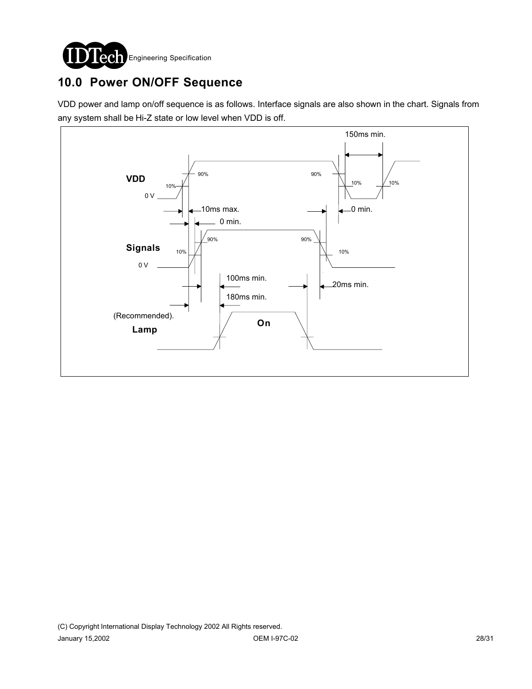

# **10.0 Power ON/OFF Sequence**

VDD power and lamp on/off sequence is as follows. Interface signals are also shown in the chart. Signals from any system shall be Hi-Z state or low level when VDD is off.

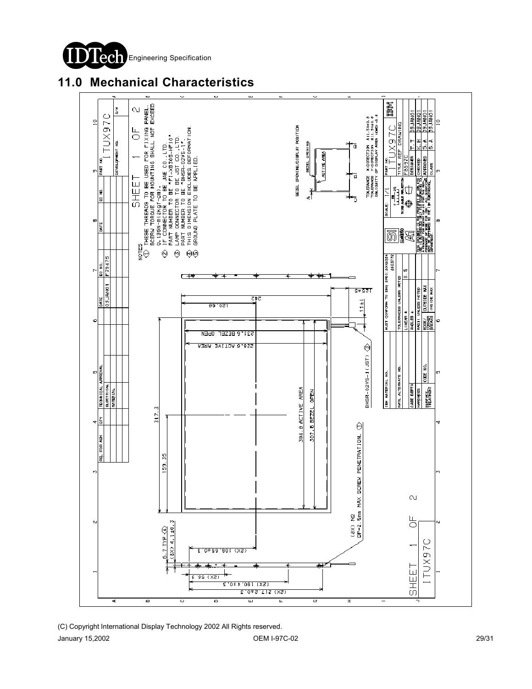

## **11.0 Mechanical Characteristics**

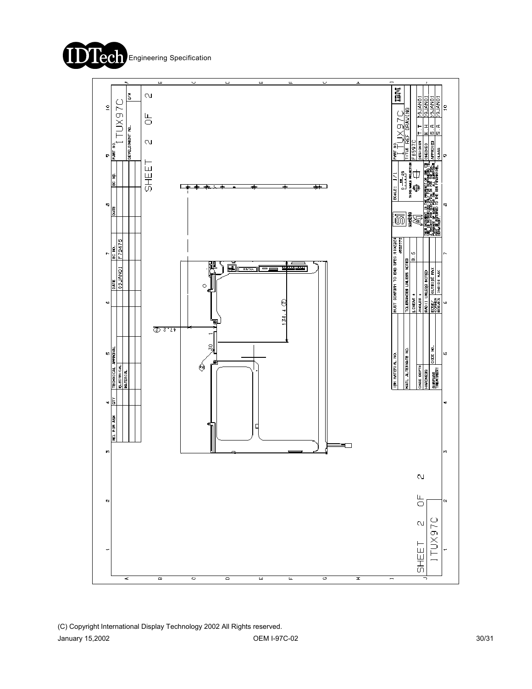